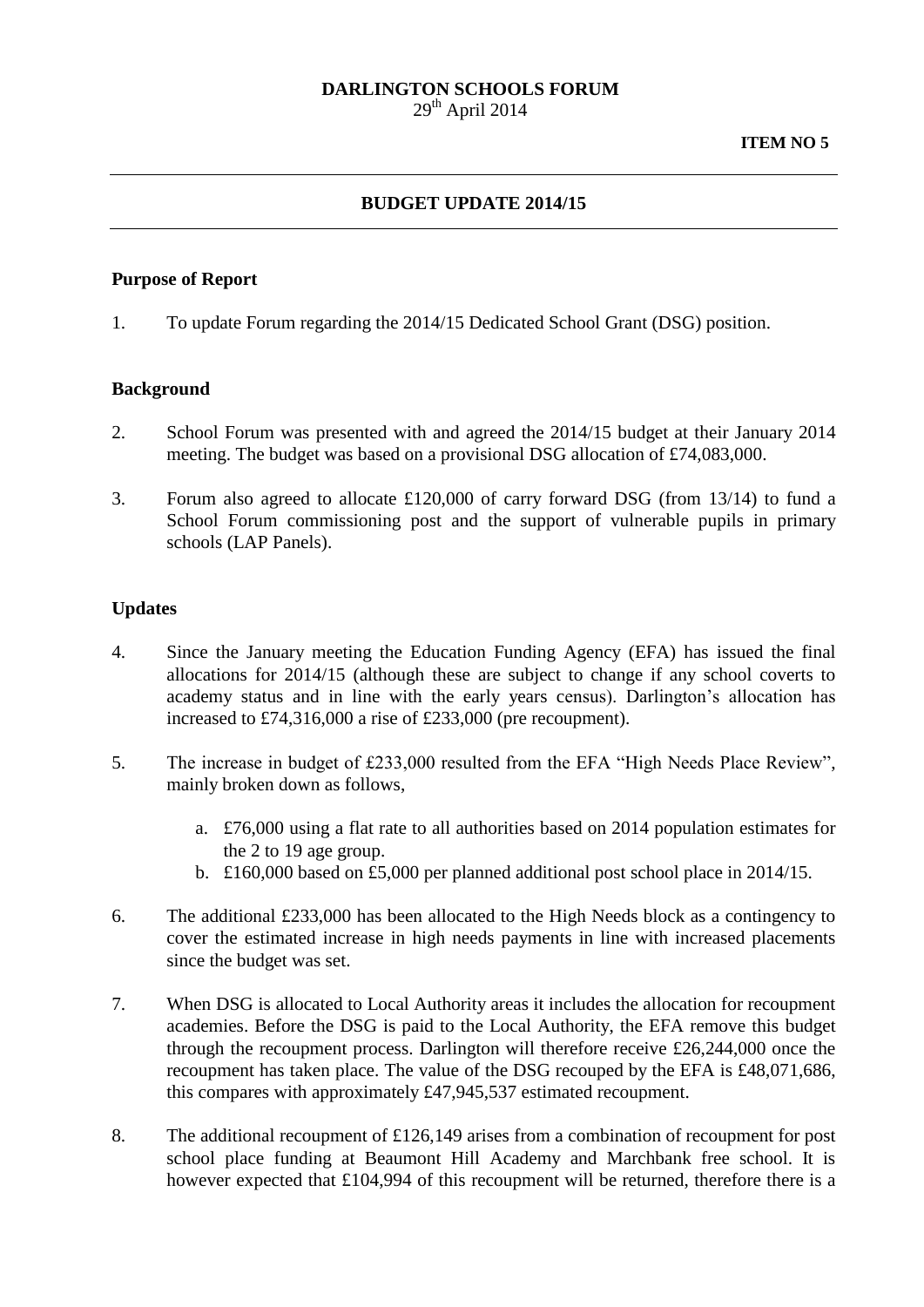## **DARLINGTON SCHOOLS FORUM**  $29<sup>th</sup>$  April 2014

# **BUDGET UPDATE 2014/15**

### **Purpose of Report**

1. To update Forum regarding the 2014/15 Dedicated School Grant (DSG) position.

#### **Background**

- 2. School Forum was presented with and agreed the 2014/15 budget at their January 2014 meeting. The budget was based on a provisional DSG allocation of £74,083,000.
- 3. Forum also agreed to allocate £120,000 of carry forward DSG (from 13/14) to fund a School Forum commissioning post and the support of vulnerable pupils in primary schools (LAP Panels).

#### **Updates**

- 4. Since the January meeting the Education Funding Agency (EFA) has issued the final allocations for 2014/15 (although these are subject to change if any school coverts to academy status and in line with the early years census). Darlington's allocation has increased to £74,316,000 a rise of £233,000 (pre recoupment).
- 5. The increase in budget of £233,000 resulted from the EFA "High Needs Place Review", mainly broken down as follows,
	- a. £76,000 using a flat rate to all authorities based on 2014 population estimates for the 2 to 19 age group.
	- b. £160,000 based on £5,000 per planned additional post school place in 2014/15.
- 6. The additional £233,000 has been allocated to the High Needs block as a contingency to cover the estimated increase in high needs payments in line with increased placements since the budget was set.
- 7. When DSG is allocated to Local Authority areas it includes the allocation for recoupment academies. Before the DSG is paid to the Local Authority, the EFA remove this budget through the recoupment process. Darlington will therefore receive £26,244,000 once the recoupment has taken place. The value of the DSG recouped by the EFA is £48,071,686, this compares with approximately £47,945,537 estimated recoupment.
- 8. The additional recoupment of £126,149 arises from a combination of recoupment for post school place funding at Beaumont Hill Academy and Marchbank free school. It is however expected that £104,994 of this recoupment will be returned, therefore there is a